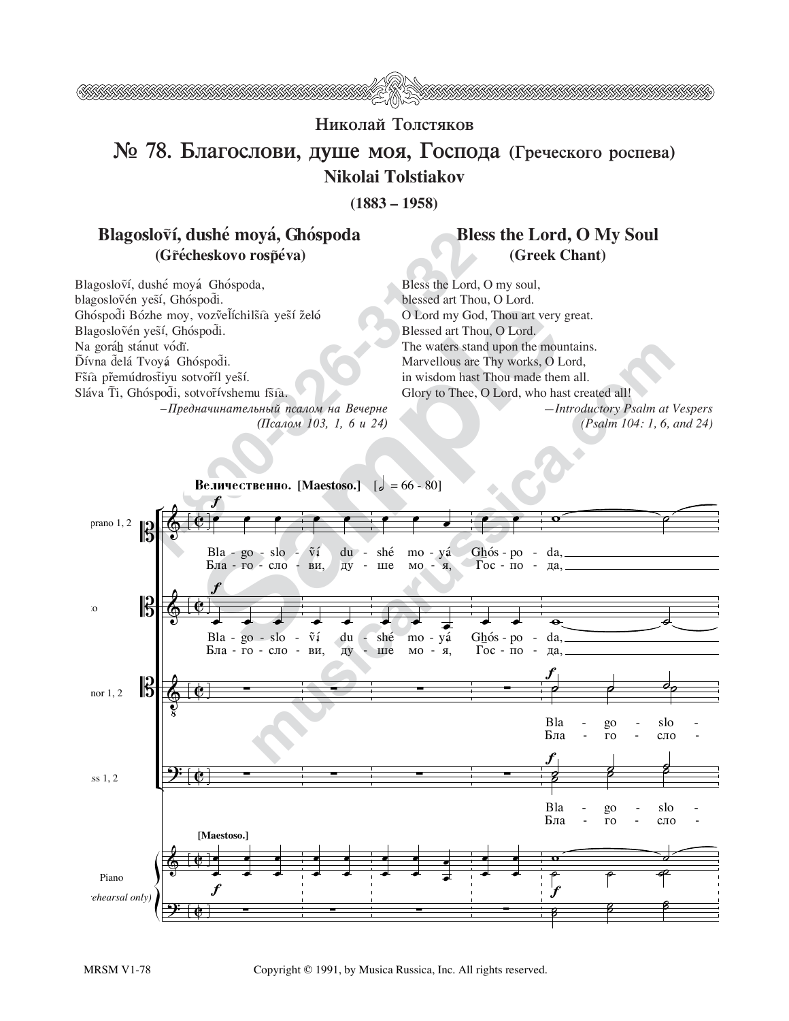

## Николай Толстяков

## № 78. Благослови, душе моя, Господа (Греческого роспева) Nikolai Tolstiakov

 $(1883 - 1958)$ 

## Blagosloví, dushé moyá, Ghóspoda (Grécheskovo rospéva)

## **Bless the Lord, O My Soul** (Greek Chant)

Blagosloví, dushé moyá Ghóspoda, blagoslovén yesí, Ghóspodi. Ghóspodi Bózhe moy, vozvelíchilšía yeší želó Blagoslovén yesí, Ghóspodi. Na goráh stánut vódï. Ďívna delá Tvoyá Ghóspodi. Fšíà přemúdrostiyu sotvoříl yeší. Sláva Ti, Ghóspodi, sotvořívshemu fšíà.  $-I$ редначинательный псалом на Вечерне

(Псалом 103, 1, 6 и 24)

Bless the Lord, O my soul, blessed art Thou, O Lord. O Lord my God, Thou art very great. Blessed art Thou, O Lord. The waters stand upon the mountains. Marvellous are Thy works, O Lord, in wisdom hast Thou made them all. Glory to Thee, O Lord, who hast created all! -Introductory Psalm at Vespers

(Psalm 104: 1, 6, and 24)



Copyright © 1991, by Musica Russica, Inc. All rights reserved.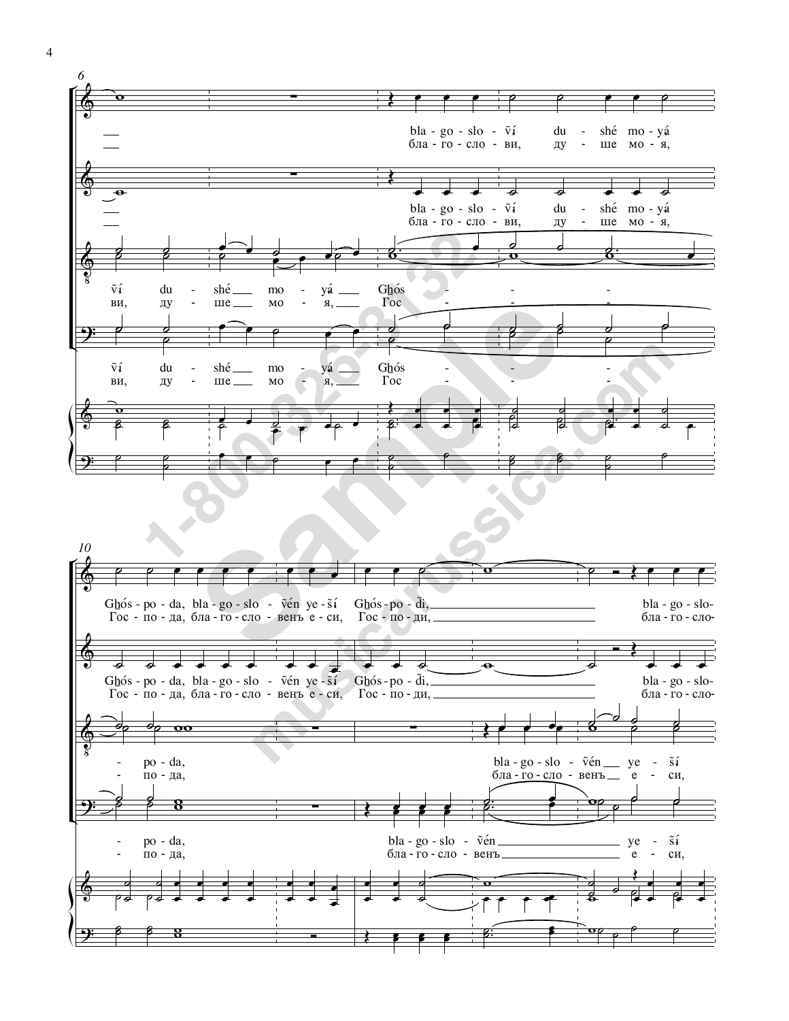

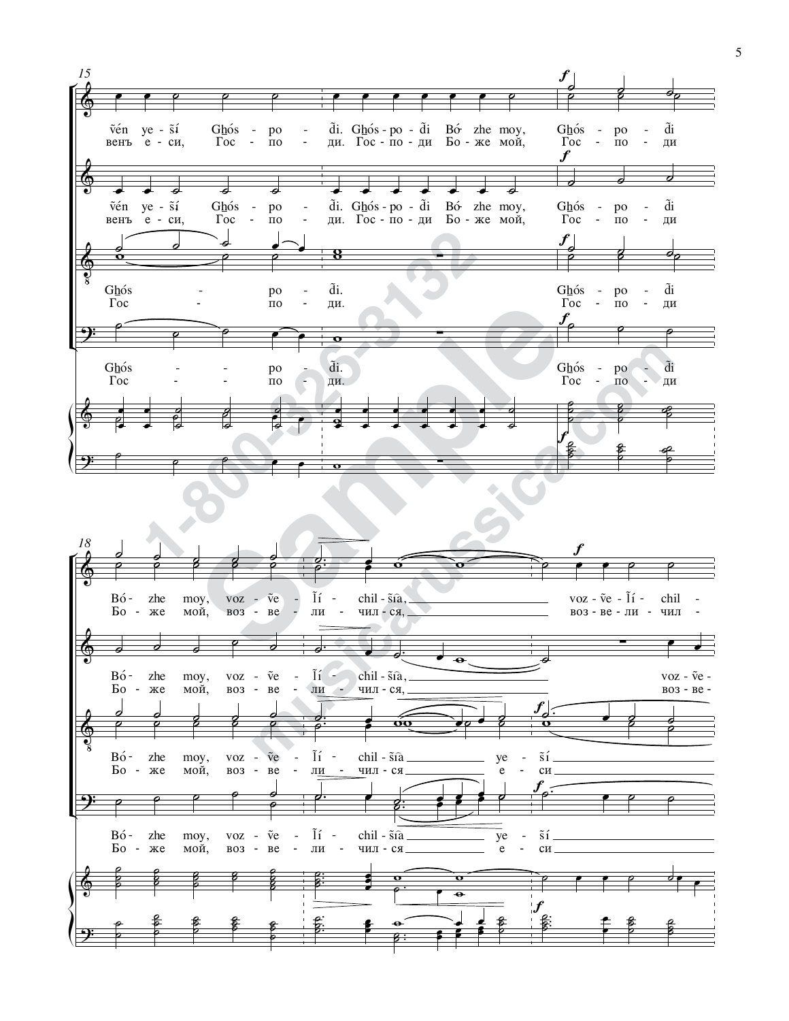

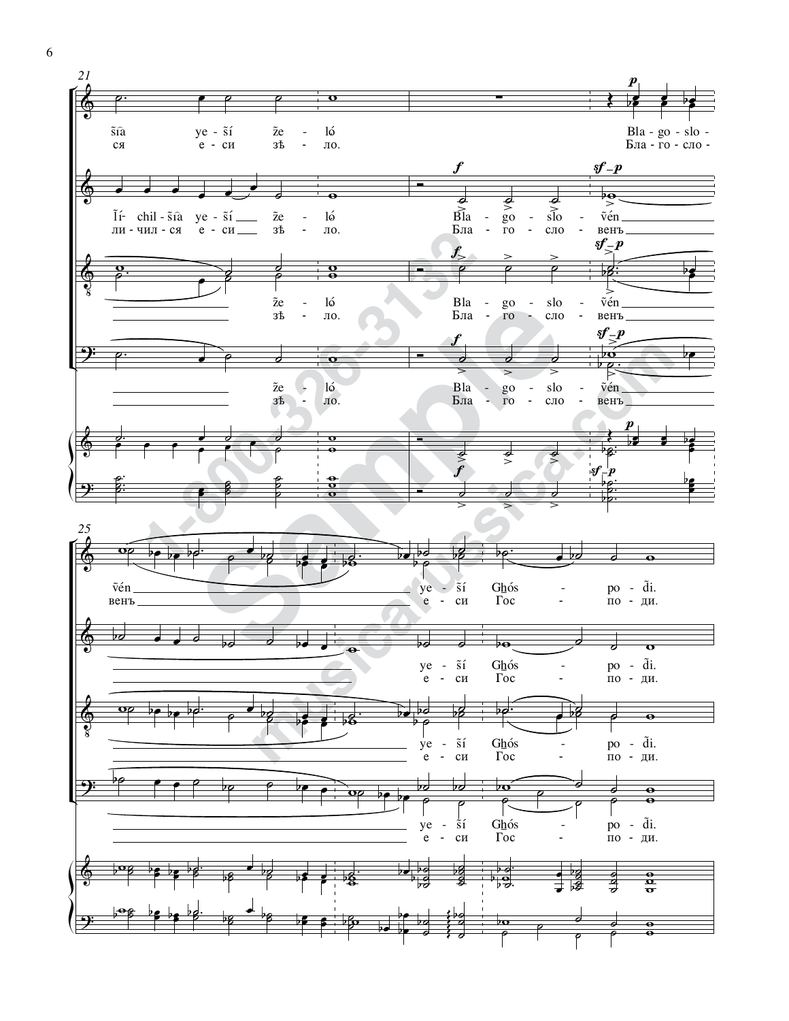

6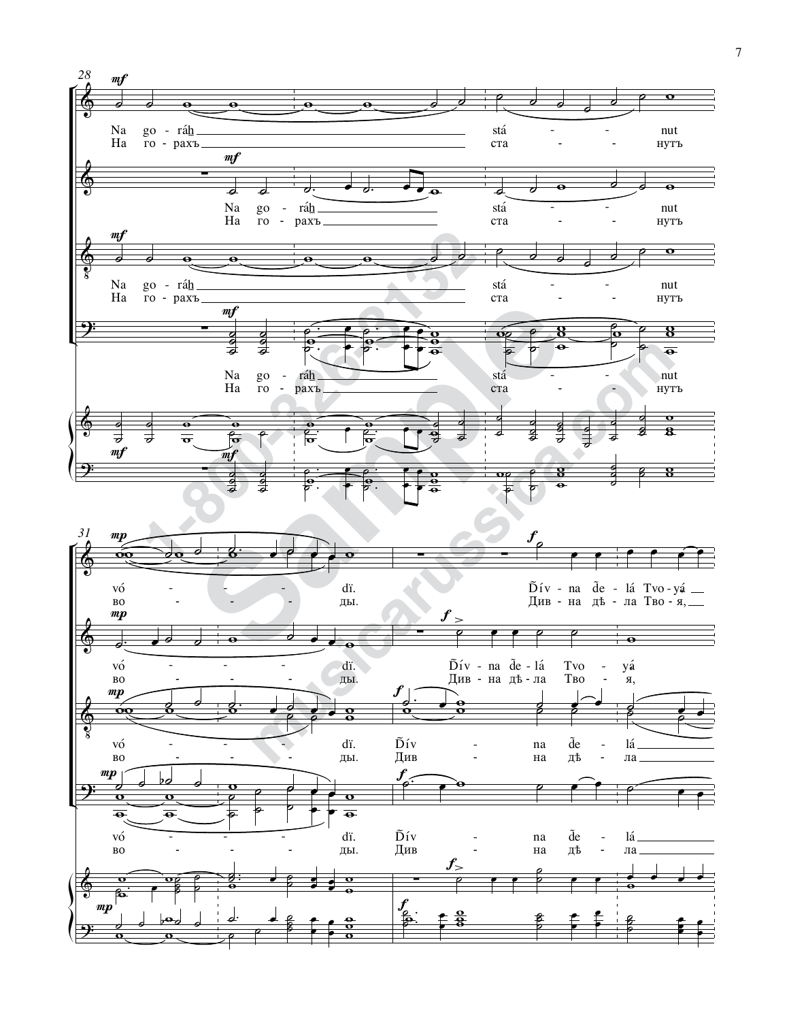

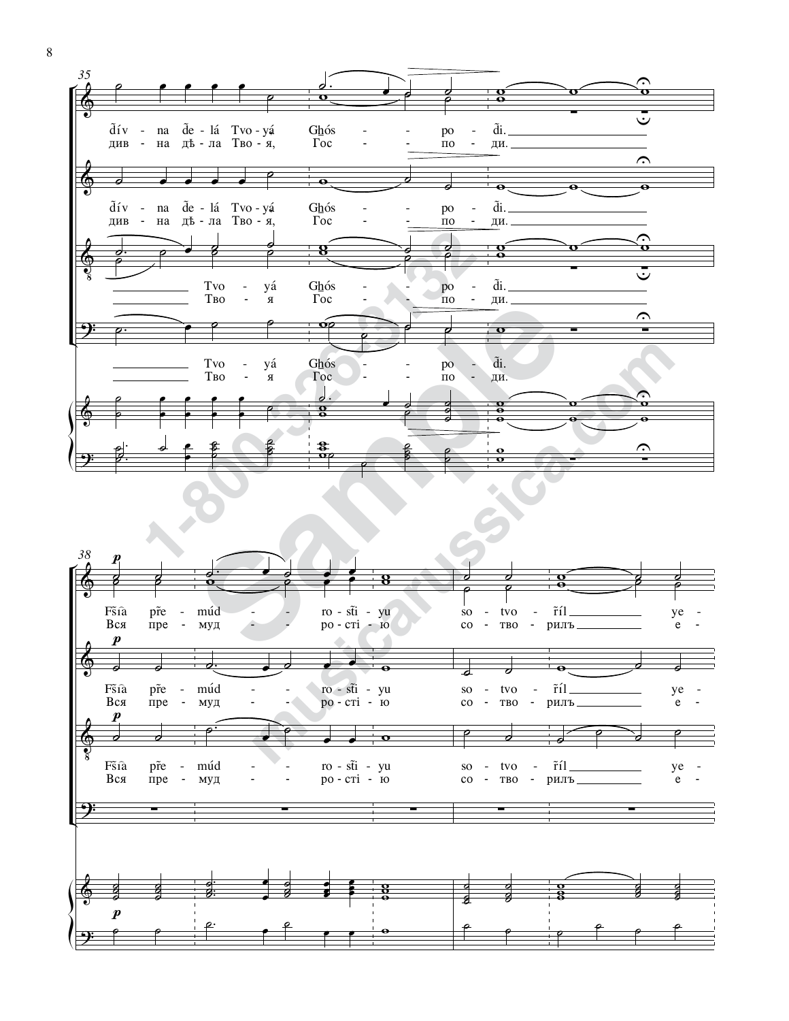



 $8\,$